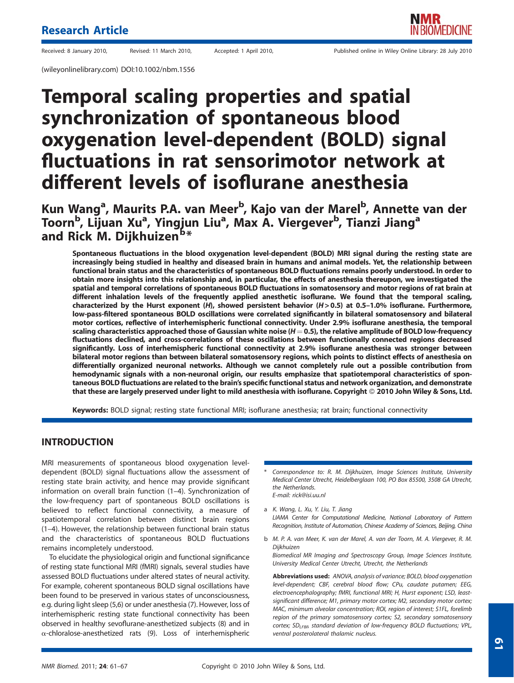(wileyonlinelibrary.com) DOI:10.1002/nbm.1556

# Temporal scaling properties and spatial synchronization of spontaneous blood oxygenation level-dependent (BOLD) signal fluctuations in rat sensorimotor network at different levels of isoflurane anesthesia

Kun Wang<sup>a</sup>, Maurits P.A. van Meer<sup>b</sup>, Kajo van der Marel<sup>b</sup>, Annette van der Toorn<sup>b</sup>, Lijuan Xu<sup>a</sup>, Yingjun Liu<sup>a</sup>, Max Á. Viergever<sup>b</sup>, Tianzi Jiang<sup>a</sup> and Rick M. Dijkhuizenb\*

Spontaneous fluctuations in the blood oxygenation level-dependent (BOLD) MRI signal during the resting state are increasingly being studied in healthy and diseased brain in humans and animal models. Yet, the relationship between functional brain status and the characteristics of spontaneous BOLD fluctuations remains poorly understood. In order to obtain more insights into this relationship and, in particular, the effects of anesthesia thereupon, we investigated the spatial and temporal correlations of spontaneous BOLD fluctuations in somatosensory and motor regions of rat brain at different inhalation levels of the frequently applied anesthetic isoflurane. We found that the temporal scaling, characterized by the Hurst exponent (H), showed persistent behavior (H> 0.5) at 0.5–1.0% isoflurane. Furthermore, low-pass-filtered spontaneous BOLD oscillations were correlated significantly in bilateral somatosensory and bilateral motor cortices, reflective of interhemispheric functional connectivity. Under 2.9% isoflurane anesthesia, the temporal scaling characteristics approached those of Gaussian white noise ( $H=0.5$ ), the relative amplitude of BOLD low-frequency fluctuations declined, and cross-correlations of these oscillations between functionally connected regions decreased significantly. Loss of interhemispheric functional connectivity at 2.9% isoflurane anesthesia was stronger between bilateral motor regions than between bilateral somatosensory regions, which points to distinct effects of anesthesia on differentially organized neuronal networks. Although we cannot completely rule out a possible contribution from hemodynamic signals with a non-neuronal origin, our results emphasize that spatiotemporal characteristics of spontaneous BOLD fluctuations are related to the brain's specific functional status and network organization, and demonstrate that these are largely preserved under light to mild anesthesia with isoflurane. Copyright © 2010 John Wiley & Sons, Ltd.

Keywords: BOLD signal; resting state functional MRI; isoflurane anesthesia; rat brain; functional connectivity

# INTRODUCTION

MRI measurements of spontaneous blood oxygenation leveldependent (BOLD) signal fluctuations allow the assessment of resting state brain activity, and hence may provide significant information on overall brain function (1–4). Synchronization of the low-frequency part of spontaneous BOLD oscillations is believed to reflect functional connectivity, a measure of spatiotemporal correlation between distinct brain regions (1–4). However, the relationship between functional brain status and the characteristics of spontaneous BOLD fluctuations remains incompletely understood.

To elucidate the physiological origin and functional significance of resting state functional MRI (fMRI) signals, several studies have assessed BOLD fluctuations under altered states of neural activity. For example, coherent spontaneous BOLD signal oscillations have been found to be preserved in various states of unconsciousness, e.g. during light sleep (5,6) or under anesthesia (7). However, loss of interhemispheric resting state functional connectivity has been observed in healthy sevoflurane-anesthetized subjects (8) and in  $\alpha$ -chloralose-anesthetized rats (9). Loss of interhemispheric

- Correspondence to: R. M. Dijkhuizen, Image Sciences Institute, University Medical Center Utrecht, Heidelberglaan 100, PO Box 85500, 3508 GA Utrecht, the Netherlands. E-mail: rick@isi.uu.nl
- a K. Wang, L. Xu, Y. Liu, T. Jiang LIAMA Center for Computational Medicine, National Laboratory of Pattern Recognition, Institute of Automation, Chinese Academy of Sciences, Beijing, China
- b M. P. A. van Meer, K. van der Marel, A. van der Toorn, M. A. Viergever, R. M. Dijkhuizen

Biomedical MR Imaging and Spectroscopy Group, Image Sciences Institute, University Medical Center Utrecht, Utrecht, the Netherlands

Abbreviations used: ANOVA, analysis of variance; BOLD, blood oxygenation level-dependent; CBF, cerebral blood flow; CPu, caudate putamen; EEG, electroencephalography; fMRI, functional MRI; H, Hurst exponent; LSD, leastsignificant difference; M1, primary motor cortex; M2, secondary motor cortex; MAC, minimum alveolar concentration; ROI, region of interest; S1FL, forelimb region of the primary somatosensory cortex; S2, secondary somatosensory cortex;  $SD_{LEBF}$  standard deviation of low-frequency BOLD fluctuations; VPL, ventral posterolateral thalamic nucleus.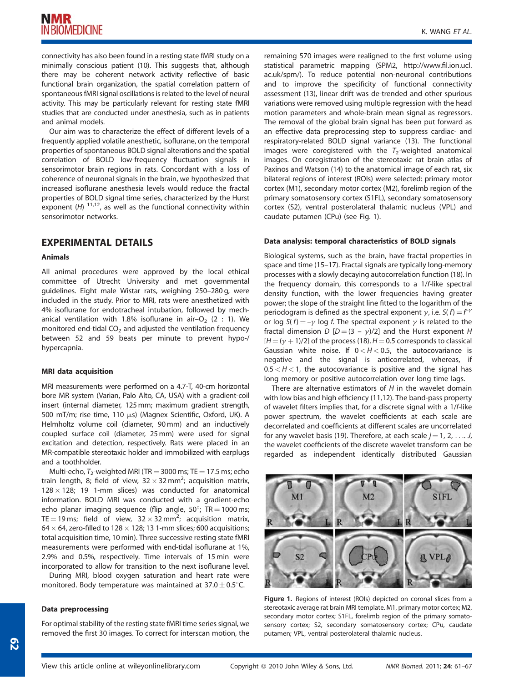connectivity has also been found in a resting state fMRI study on a minimally conscious patient (10). This suggests that, although there may be coherent network activity reflective of basic functional brain organization, the spatial correlation pattern of spontaneous fMRI signal oscillations is related to the level of neural activity. This may be particularly relevant for resting state fMRI studies that are conducted under anesthesia, such as in patients and animal models.

Our aim was to characterize the effect of different levels of a frequently applied volatile anesthetic, isoflurane, on the temporal properties of spontaneous BOLD signal alterations and the spatial correlation of BOLD low-frequency fluctuation signals in sensorimotor brain regions in rats. Concordant with a loss of coherence of neuronal signals in the brain, we hypothesized that increased isoflurane anesthesia levels would reduce the fractal properties of BOLD signal time series, characterized by the Hurst exponent  $(H)$  <sup>11,12</sup>, as well as the functional connectivity within sensorimotor networks.

# EXPERIMENTAL DETAILS

## Animals

All animal procedures were approved by the local ethical committee of Utrecht University and met governmental guidelines. Eight male Wistar rats, weighing 250–280 g, were included in the study. Prior to MRI, rats were anesthetized with 4% isoflurane for endotracheal intubation, followed by mechanical ventilation with 1.8% isoflurane in air-O<sub>2</sub> (2 : 1). We monitored end-tidal  $CO<sub>2</sub>$  and adjusted the ventilation frequency between 52 and 59 beats per minute to prevent hypo-/ hypercapnia.

## MRI data acquisition

MRI measurements were performed on a 4.7-T, 40-cm horizontal bore MR system (Varian, Palo Alto, CA, USA) with a gradient-coil insert (internal diameter, 125 mm; maximum gradient strength, 500 mT/m; rise time, 110 μs) (Magnex Scientific, Oxford, UK). A Helmholtz volume coil (diameter, 90 mm) and an inductively coupled surface coil (diameter, 25 mm) were used for signal excitation and detection, respectively. Rats were placed in an MR-compatible stereotaxic holder and immobilized with earplugs and a toothholder.

Multi-echo,  $T_2$ -weighted MRI (TR = 3000 ms; TE = 17.5 ms; echo train length, 8; field of view,  $32 \times 32\,\text{mm}^2$ ; acquisition matrix,  $128 \times 128$ ; 19 1-mm slices) was conducted for anatomical information. BOLD MRI was conducted with a gradient-echo echo planar imaging sequence (flip angle,  $50^{\circ}$ ; TR = 1000 ms; TE = 19 ms; field of view,  $32 \times 32$  mm<sup>2</sup>; acquisition matrix, 64  $\times$  64, zero-filled to 128  $\times$  128; 13 1-mm slices; 600 acquisitions; total acquisition time, 10 min). Three successive resting state fMRI measurements were performed with end-tidal isoflurane at 1%, 2.9% and 0.5%, respectively. Time intervals of 15 min were incorporated to allow for transition to the next isoflurane level.

During MRI, blood oxygen saturation and heart rate were monitored. Body temperature was maintained at 37.0  $\pm$  0.5 $^{\circ}$ C.

#### Data preprocessing

For optimal stability of the resting state fMRI time series signal, we removed the first 30 images. To correct for interscan motion, the remaining 570 images were realigned to the first volume using statistical parametric mapping (SPM2, http://www.fil.ion.ucl. ac.uk/spm/). To reduce potential non-neuronal contributions and to improve the specificity of functional connectivity assessment (13), linear drift was de-trended and other spurious variations were removed using multiple regression with the head motion parameters and whole-brain mean signal as regressors. The removal of the global brain signal has been put forward as an effective data preprocessing step to suppress cardiac- and respiratory-related BOLD signal variance (13). The functional images were coregistered with the  $T_2$ -weighted anatomical images. On coregistration of the stereotaxic rat brain atlas of Paxinos and Watson (14) to the anatomical image of each rat, six bilateral regions of interest (ROIs) were selected: primary motor cortex (M1), secondary motor cortex (M2), forelimb region of the primary somatosensory cortex (S1FL), secondary somatosensory cortex (S2), ventral posterolateral thalamic nucleus (VPL) and caudate putamen (CPu) (see Fig. 1).

#### Data analysis: temporal characteristics of BOLD signals

Biological systems, such as the brain, have fractal properties in space and time (15–17). Fractal signals are typically long-memory processes with a slowly decaying autocorrelation function (18). In the frequency domain, this corresponds to a 1/f-like spectral density function, with the lower frequencies having greater power; the slope of the straight line fitted to the logarithm of the periodogram is defined as the spectral exponent  $\gamma$ , i.e.  $S(f) = f^{\gamma}$ or log  $S(f) = -\gamma$  log f. The spectral exponent  $\gamma$  is related to the fractal dimension D  $[D=(3 - \gamma)/2]$  and the Hurst exponent H  $[H = (\gamma + 1)/2]$  of the process (18).  $H = 0.5$  corresponds to classical Gaussian white noise. If  $0 < H < 0.5$ , the autocovariance is negative and the signal is anticorrelated, whereas, if  $0.5 < H < 1$ , the autocovariance is positive and the signal has long memory or positive autocorrelation over long time lags.

There are alternative estimators of  $H$  in the wavelet domain with low bias and high efficiency (11,12). The band-pass property of wavelet filters implies that, for a discrete signal with a 1/f-like power spectrum, the wavelet coefficients at each scale are decorrelated and coefficients at different scales are uncorrelated for any wavelet basis (19). Therefore, at each scale  $j = 1, 2, \ldots, J$ the wavelet coefficients of the discrete wavelet transform can be regarded as independent identically distributed Gaussian



Figure 1. Regions of interest (ROIs) depicted on coronal slices from a stereotaxic average rat brain MRI template. M1, primary motor cortex; M2, secondary motor cortex; S1FL, forelimb region of the primary somatosensory cortex; S2, secondary somatosensory cortex; CPu, caudate putamen; VPL, ventral posterolateral thalamic nucleus.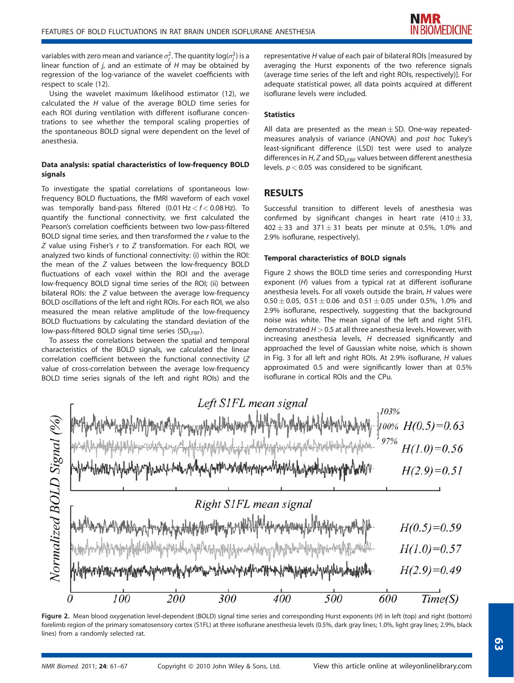variables with zero mean and variance  $\sigma_j^2.$  The quantity log( $\sigma_j^2$ ) is a linear function of  $j$ , and an estimate of  $H$  may be obtained by regression of the log-variance of the wavelet coefficients with respect to scale (12).

Using the wavelet maximum likelihood estimator (12), we calculated the  $H$  value of the average BOLD time series for each ROI during ventilation with different isoflurane concentrations to see whether the temporal scaling properties of the spontaneous BOLD signal were dependent on the level of anesthesia.

## Data analysis: spatial characteristics of low-frequency BOLD signals

To investigate the spatial correlations of spontaneous lowfrequency BOLD fluctuations, the fMRI waveform of each voxel was temporally band-pass filtered  $(0.01 \text{ Hz} < f < 0.08 \text{ Hz})$ . To quantify the functional connectivity, we first calculated the Pearson's correlation coefficients between two low-pass-filtered BOLD signal time series, and then transformed the r value to the  $Z$  value using Fisher's  $r$  to  $Z$  transformation. For each ROI, we analyzed two kinds of functional connectivity: (i) within the ROI: the mean of the Z values between the low-frequency BOLD fluctuations of each voxel within the ROI and the average low-frequency BOLD signal time series of the ROI; (ii) between bilateral ROIs: the Z value between the average low-frequency BOLD oscillations of the left and right ROIs. For each ROI, we also measured the mean relative amplitude of the low-frequency BOLD fluctuations by calculating the standard deviation of the low-pass-filtered BOLD signal time series ( $SD_{LEBF}$ ).

To assess the correlations between the spatial and temporal characteristics of the BOLD signals, we calculated the linear correlation coefficient between the functional connectivity (Z value of cross-correlation between the average low-frequency BOLD time series signals of the left and right ROIs) and the

representative H value of each pair of bilateral ROIs [measured by averaging the Hurst exponents of the two reference signals (average time series of the left and right ROIs, respectively)]. For adequate statistical power, all data points acquired at different isoflurane levels were included.

## **Statistics**

All data are presented as the mean  $\pm$  SD. One-way repeatedmeasures analysis of variance (ANOVA) and post hoc Tukey's least-significant difference (LSD) test were used to analyze differences in  $H$ , Z and  $SD_{LFBF}$  values between different anesthesia levels.  $p < 0.05$  was considered to be significant.

## RESULTS

Successful transition to different levels of anesthesia was confirmed by significant changes in heart rate  $(410 \pm 33)$  $402 \pm 33$  and  $371 \pm 31$  beats per minute at 0.5%, 1.0% and 2.9% isoflurane, respectively).

#### Temporal characteristics of BOLD signals

Figure 2 shows the BOLD time series and corresponding Hurst exponent (H) values from a typical rat at different isoflurane anesthesia levels. For all voxels outside the brain, H values were  $0.50 \pm 0.05$ ,  $0.51 \pm 0.06$  and  $0.51 \pm 0.05$  under 0.5%, 1.0% and 2.9% isoflurane, respectively, suggesting that the background noise was white. The mean signal of the left and right S1FL demonstrated  $H > 0.5$  at all three anesthesia levels. However, with increasing anesthesia levels, H decreased significantly and approached the level of Gaussian white noise, which is shown in Fig. 3 for all left and right ROIs. At 2.9% isoflurane, H values approximated 0.5 and were significantly lower than at 0.5% isoflurane in cortical ROIs and the CPu.



Figure 2. Mean blood oxygenation level-dependent (BOLD) signal time series and corresponding Hurst exponents (H) in left (top) and right (bottom) forelimb region of the primary somatosensory cortex (S1FL) at three isoflurane anesthesia levels (0.5%, dark gray lines; 1.0%, light gray lines; 2.9%, black lines) from a randomly selected rat.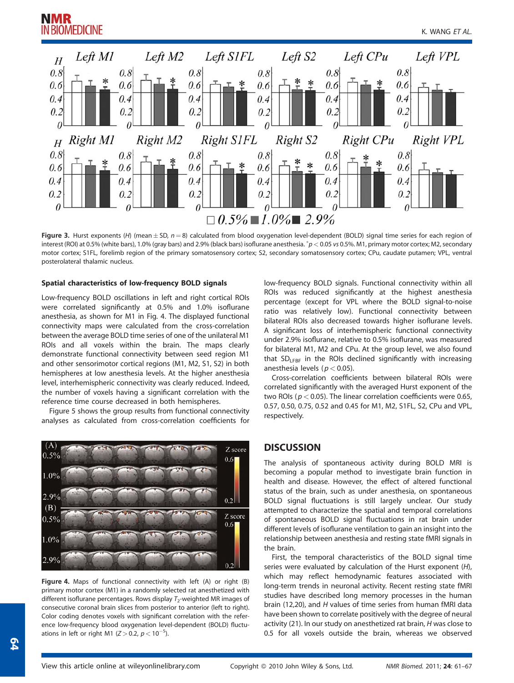

**Figure 3.** Hurst exponents (H) (mean $\pm$  SD,  $n = 8$ ) calculated from blood oxygenation level-dependent (BOLD) signal time series for each region of interest (ROI) at 0.5% (white bars), 1.0% (gray bars) and 2.9% (black bars) isoflurane anesthesia.  $^*p$  < 0.05 vs 0.5%. M1, primary motor cortex; M2, secondary motor cortex; S1FL, forelimb region of the primary somatosensory cortex; S2, secondary somatosensory cortex; CPu, caudate putamen; VPL, ventral posterolateral thalamic nucleus.

## Spatial characteristics of low-frequency BOLD signals

Low-frequency BOLD oscillations in left and right cortical ROIs were correlated significantly at 0.5% and 1.0% isoflurane anesthesia, as shown for M1 in Fig. 4. The displayed functional connectivity maps were calculated from the cross-correlation between the average BOLD time series of one of the unilateral M1 ROIs and all voxels within the brain. The maps clearly demonstrate functional connectivity between seed region M1 and other sensorimotor cortical regions (M1, M2, S1, S2) in both hemispheres at low anesthesia levels. At the higher anesthesia level, interhemispheric connectivity was clearly reduced. Indeed, the number of voxels having a significant correlation with the reference time course decreased in both hemispheres.

Figure 5 shows the group results from functional connectivity analyses as calculated from cross-correlation coefficients for



Figure 4. Maps of functional connectivity with left (A) or right (B) primary motor cortex (M1) in a randomly selected rat anesthetized with different isoflurane percentages. Rows display  $T_2$ -weighted MR images of consecutive coronal brain slices from posterior to anterior (left to right). Color coding denotes voxels with significant correlation with the reference low-frequency blood oxygenation level-dependent (BOLD) fluctuations in left or right M1 ( $Z > 0.2$ ,  $p < 10^{-5}$ ).

low-frequency BOLD signals. Functional connectivity within all ROIs was reduced significantly at the highest anesthesia percentage (except for VPL where the BOLD signal-to-noise ratio was relatively low). Functional connectivity between bilateral ROIs also decreased towards higher isoflurane levels. A significant loss of interhemispheric functional connectivity under 2.9% isoflurane, relative to 0.5% isoflurane, was measured for bilateral M1, M2 and CPu. At the group level, we also found that  $SD<sub>LFBF</sub>$  in the ROIs declined significantly with increasing anesthesia levels ( $p < 0.05$ ).

Cross-correlation coefficients between bilateral ROIs were correlated significantly with the averaged Hurst exponent of the two ROIs ( $p < 0.05$ ). The linear correlation coefficients were 0.65, 0.57, 0.50, 0.75, 0.52 and 0.45 for M1, M2, S1FL, S2, CPu and VPL, respectively.

# **DISCUSSION**

The analysis of spontaneous activity during BOLD MRI is becoming a popular method to investigate brain function in health and disease. However, the effect of altered functional status of the brain, such as under anesthesia, on spontaneous BOLD signal fluctuations is still largely unclear. Our study attempted to characterize the spatial and temporal correlations of spontaneous BOLD signal fluctuations in rat brain under different levels of isoflurane ventilation to gain an insight into the relationship between anesthesia and resting state fMRI signals in the brain.

First, the temporal characteristics of the BOLD signal time series were evaluated by calculation of the Hurst exponent (H), which may reflect hemodynamic features associated with long-term trends in neuronal activity. Recent resting state fMRI studies have described long memory processes in the human brain (12,20), and H values of time series from human fMRI data have been shown to correlate positively with the degree of neural activity (21). In our study on anesthetized rat brain, H was close to 0.5 for all voxels outside the brain, whereas we observed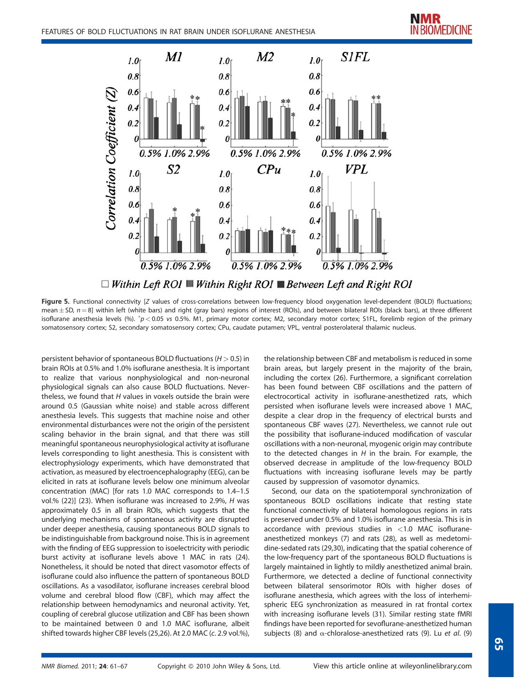

Figure 5. Functional connectivity [Z values of cross-correlations between low-frequency blood oxygenation level-dependent (BOLD) fluctuations; mean $\pm$  SD,  $n$   $=$  8] within left (white bars) and right (gray bars) regions of interest (ROIs), and between bilateral ROIs (black bars), at three different isoflurane anesthesia levels (%).  $p < 0.05$  vs 0.5%. M1, primary motor cortex; M2, secondary motor cortex; S1FL, forelimb region of the primary

somatosensory cortex; S2, secondary somatosensory cortex; CPu, caudate putamen; VPL, ventral posterolateral thalamic nucleus.

persistent behavior of spontaneous BOLD fluctuations ( $H > 0.5$ ) in brain ROIs at 0.5% and 1.0% isoflurane anesthesia. It is important to realize that various nonphysiological and non-neuronal physiological signals can also cause BOLD fluctuations. Nevertheless, we found that  $H$  values in voxels outside the brain were around 0.5 (Gaussian white noise) and stable across different anesthesia levels. This suggests that machine noise and other environmental disturbances were not the origin of the persistent scaling behavior in the brain signal, and that there was still meaningful spontaneous neurophysiological activity at isoflurane levels corresponding to light anesthesia. This is consistent with electrophysiology experiments, which have demonstrated that activation, as measured by electroencephalography (EEG), can be elicited in rats at isoflurane levels below one minimum alveolar concentration (MAC) [for rats 1.0 MAC corresponds to 1.4–1.5 vol.% (22)] (23). When isoflurane was increased to 2.9%, H was approximately 0.5 in all brain ROIs, which suggests that the underlying mechanisms of spontaneous activity are disrupted under deeper anesthesia, causing spontaneous BOLD signals to be indistinguishable from background noise. This is in agreement with the finding of EEG suppression to isoelectricity with periodic burst activity at isoflurane levels above 1 MAC in rats (24). Nonetheless, it should be noted that direct vasomotor effects of isoflurane could also influence the pattern of spontaneous BOLD oscillations. As a vasodilator, isoflurane increases cerebral blood volume and cerebral blood flow (CBF), which may affect the relationship between hemodynamics and neuronal activity. Yet, coupling of cerebral glucose utilization and CBF has been shown to be maintained between 0 and 1.0 MAC isoflurane, albeit shifted towards higher CBF levels (25,26). At 2.0 MAC (c. 2.9 vol.%),

the relationship between CBF and metabolism is reduced in some brain areas, but largely present in the majority of the brain, including the cortex (26). Furthermore, a significant correlation has been found between CBF oscillations and the pattern of electrocortical activity in isoflurane-anesthetized rats, which persisted when isoflurane levels were increased above 1 MAC, despite a clear drop in the frequency of electrical bursts and spontaneous CBF waves (27). Nevertheless, we cannot rule out the possibility that isoflurane-induced modification of vascular oscillations with a non-neuronal, myogenic origin may contribute to the detected changes in  $H$  in the brain. For example, the observed decrease in amplitude of the low-frequency BOLD fluctuations with increasing isoflurane levels may be partly caused by suppression of vasomotor dynamics.

Second, our data on the spatiotemporal synchronization of spontaneous BOLD oscillations indicate that resting state functional connectivity of bilateral homologous regions in rats is preserved under 0.5% and 1.0% isoflurane anesthesia. This is in accordance with previous studies in <1.0 MAC isofluraneanesthetized monkeys (7) and rats (28), as well as medetomidine-sedated rats (29,30), indicating that the spatial coherence of the low-frequency part of the spontaneous BOLD fluctuations is largely maintained in lightly to mildly anesthetized animal brain. Furthermore, we detected a decline of functional connectivity between bilateral sensorimotor ROIs with higher doses of isoflurane anesthesia, which agrees with the loss of interhemispheric EEG synchronization as measured in rat frontal cortex with increasing isoflurane levels (31). Similar resting state fMRI findings have been reported for sevoflurane-anesthetized human subjects (8) and  $\alpha$ -chloralose-anesthetized rats (9). Lu et al. (9)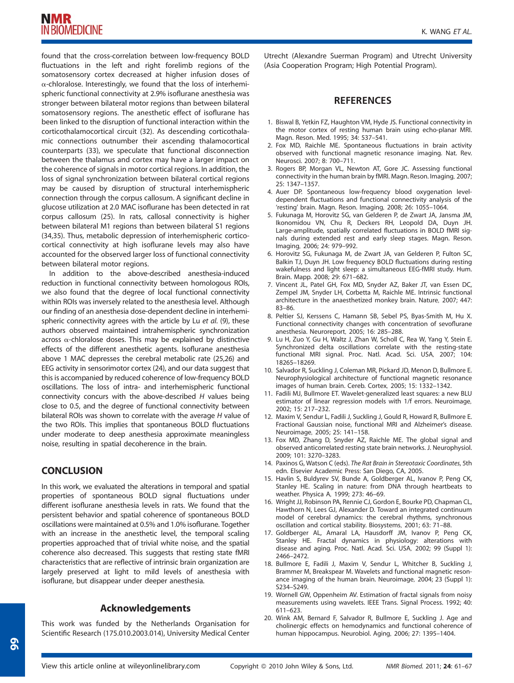found that the cross-correlation between low-frequency BOLD fluctuations in the left and right forelimb regions of the somatosensory cortex decreased at higher infusion doses of  $\alpha$ -chloralose. Interestingly, we found that the loss of interhemispheric functional connectivity at 2.9% isoflurane anesthesia was stronger between bilateral motor regions than between bilateral somatosensory regions. The anesthetic effect of isoflurane has been linked to the disruption of functional interaction within the corticothalamocortical circuit (32). As descending corticothalamic connections outnumber their ascending thalamocortical counterparts (33), we speculate that functional disconnection between the thalamus and cortex may have a larger impact on the coherence of signals in motor cortical regions. In addition, the loss of signal synchronization between bilateral cortical regions may be caused by disruption of structural interhemispheric connection through the corpus callosum. A significant decline in glucose utilization at 2.0 MAC isoflurane has been detected in rat corpus callosum (25). In rats, callosal connectivity is higher between bilateral M1 regions than between bilateral S1 regions (34,35). Thus, metabolic depression of interhemispheric corticocortical connectivity at high isoflurane levels may also have accounted for the observed larger loss of functional connectivity between bilateral motor regions.

In addition to the above-described anesthesia-induced reduction in functional connectivity between homologous ROIs, we also found that the degree of local functional connectivity within ROIs was inversely related to the anesthesia level. Although our finding of an anesthesia dose-dependent decline in interhemispheric connectivity agrees with the article by Lu et al. (9), these authors observed maintained intrahemispheric synchronization across  $\alpha$ -chloralose doses. This may be explained by distinctive effects of the different anesthetic agents. Isoflurane anesthesia above 1 MAC depresses the cerebral metabolic rate (25,26) and EEG activity in sensorimotor cortex (24), and our data suggest that this is accompanied by reduced coherence of low-frequency BOLD oscillations. The loss of intra- and interhemispheric functional connectivity concurs with the above-described H values being close to 0.5, and the degree of functional connectivity between bilateral ROIs was shown to correlate with the average H value of the two ROIs. This implies that spontaneous BOLD fluctuations under moderate to deep anesthesia approximate meaningless noise, resulting in spatial decoherence in the brain.

# **CONCLUSION**

In this work, we evaluated the alterations in temporal and spatial properties of spontaneous BOLD signal fluctuations under different isoflurane anesthesia levels in rats. We found that the persistent behavior and spatial coherence of spontaneous BOLD oscillations were maintained at 0.5% and 1.0% isoflurane. Together with an increase in the anesthetic level, the temporal scaling properties approached that of trivial white noise, and the spatial coherence also decreased. This suggests that resting state fMRI characteristics that are reflective of intrinsic brain organization are largely preserved at light to mild levels of anesthesia with isoflurane, but disappear under deeper anesthesia.

# Acknowledgements

This work was funded by the Netherlands Organisation for Scientific Research (175.010.2003.014), University Medical Center Utrecht (Alexandre Suerman Program) and Utrecht University (Asia Cooperation Program; High Potential Program).

## **REFERENCES**

- 1. Biswal B, Yetkin FZ, Haughton VM, Hyde JS. Functional connectivity in the motor cortex of resting human brain using echo-planar MRI. Magn. Reson. Med. 1995; 34: 537–541.
- 2. Fox MD, Raichle ME. Spontaneous fluctuations in brain activity observed with functional magnetic resonance imaging. Nat. Rev. Neurosci. 2007; 8: 700–711.
- 3. Rogers BP, Morgan VL, Newton AT, Gore JC. Assessing functional connectivity in the human brain by fMRI. Magn. Reson. Imaging, 2007; 25: 1347–1357.
- 4. Auer DP. Spontaneous low-frequency blood oxygenation leveldependent fluctuations and functional connectivity analysis of the 'resting' brain. Magn. Reson. Imaging, 2008; 26: 1055–1064.
- 5. Fukunaga M, Horovitz SG, van Gelderen P, de Zwart JA, Jansma JM, Ikonomidou VN, Chu R, Deckers RH, Leopold DA, Duyn JH. Large-amplitude, spatially correlated fluctuations in BOLD fMRI signals during extended rest and early sleep stages. Magn. Reson. Imaging, 2006; 24: 979–992.
- 6. Horovitz SG, Fukunaga M, de Zwart JA, van Gelderen P, Fulton SC, Balkin TJ, Duyn JH. Low frequency BOLD fluctuations during resting wakefulness and light sleep: a simultaneous EEG-fMRI study. Hum. Brain. Mapp. 2008; 29: 671–682.
- 7. Vincent JL, Patel GH, Fox MD, Snyder AZ, Baker JT, van Essen DC, Zempel JM, Snyder LH, Corbetta M, Raichle ME. Intrinsic functional architecture in the anaesthetized monkey brain. Nature, 2007; 447: 83–86.
- 8. Peltier SJ, Kerssens C, Hamann SB, Sebel PS, Byas-Smith M, Hu X. Functional connectivity changes with concentration of sevoflurane anesthesia. Neuroreport, 2005; 16: 285–288.
- 9. Lu H, Zuo Y, Gu H, Waltz J, Zhan W, Scholl C, Rea W, Yang Y, Stein E. Synchronized delta oscillations correlate with the resting-state functional MRI signal. Proc. Natl. Acad. Sci. USA, 2007; 104: 18265–18269.
- 10. Salvador R, Suckling J, Coleman MR, Pickard JD, Menon D, Bullmore E. Neurophysiological architecture of functional magnetic resonance images of human brain. Cereb. Cortex, 2005; 15: 1332–1342.
- 11. Fadili MJ, Bullmore ET. Wavelet-generalized least squares: a new BLU estimator of linear regression models with 1/f errors. Neuroimage, 2002; 15: 217–232.
- 12. Maxim V, Sendur L, Fadili J, Suckling J, Gould R, Howard R, Bullmore E. Fractional Gaussian noise, functional MRI and Alzheimer's disease. Neuroimage, 2005; 25: 141–158.
- 13. Fox MD, Zhang D, Snyder AZ, Raichle ME. The global signal and observed anticorrelated resting state brain networks. J. Neurophysiol. 2009; 101: 3270–3283.
- 14. Paxinos G, Watson C (eds). The Rat Brain in Stereotaxic Coordinates, 5th edn. Elsevier Academic Press: San Diego, CA, 2005.
- 15. Havlin S, Buldyrev SV, Bunde A, Goldberger AL, Ivanov P, Peng CK, Stanley HE. Scaling in nature: from DNA through heartbeats to weather. Physica A, 1999; 273: 46–69.
- 16. Wright JJ, Robinson PA, Rennie CJ, Gordon E, Bourke PD, Chapman CL, Hawthorn N, Lees GJ, Alexander D. Toward an integrated continuum model of cerebral dynamics: the cerebral rhythms, synchronous oscillation and cortical stability. Biosystems, 2001; 63: 71–88.
- 17. Goldberger AL, Amaral LA, Hausdorff JM, Ivanov P, Peng CK, Stanley HE. Fractal dynamics in physiology: alterations with disease and aging. Proc. Natl. Acad. Sci. USA, 2002; 99 (Suppl 1): 2466–2472.
- 18. Bullmore E, Fadili J, Maxim V, Sendur L, Whitcher B, Suckling J, Brammer M, Breakspear M. Wavelets and functional magnetic resonance imaging of the human brain. Neuroimage, 2004; 23 (Suppl 1): S234–S249.
- 19. Wornell GW, Oppenheim AV. Estimation of fractal signals from noisy measurements using wavelets. IEEE Trans. Signal Process. 1992; 40: 611–623.
- 20. Wink AM, Bernard F, Salvador R, Bullmore E, Suckling J. Age and cholinergic effects on hemodynamics and functional coherence of human hippocampus. Neurobiol. Aging, 2006; 27: 1395–1404.